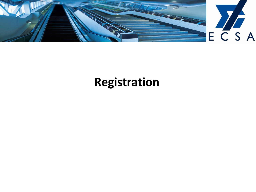

## **Registration**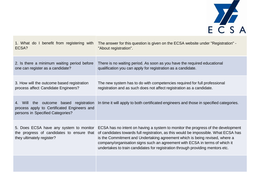

| 1. What do I benefit from registering with                                                                                   | The answer for this question is given on the ECSA website under "Registration" -                                                                                                                                                                                                                                                                                                                                        |
|------------------------------------------------------------------------------------------------------------------------------|-------------------------------------------------------------------------------------------------------------------------------------------------------------------------------------------------------------------------------------------------------------------------------------------------------------------------------------------------------------------------------------------------------------------------|
| ECSA?                                                                                                                        | "About registration".                                                                                                                                                                                                                                                                                                                                                                                                   |
| 2. Is there a minimum waiting period before                                                                                  | There is no waiting period. As soon as you have the required educational                                                                                                                                                                                                                                                                                                                                                |
| one can register as a candidate?                                                                                             | qualification you can apply for registration as a candidate.                                                                                                                                                                                                                                                                                                                                                            |
| 3. How will the outcome based registration                                                                                   | The new system has to do with competencies required for full professional                                                                                                                                                                                                                                                                                                                                               |
| process affect Candidate Engineers?                                                                                          | registration and as such does not affect registration as a candidate.                                                                                                                                                                                                                                                                                                                                                   |
| the outcome based registration<br>4. Will<br>process apply to Certificated Engineers and<br>persons in Specified Categories? | In time it will apply to both certificated engineers and those in specified categories.                                                                                                                                                                                                                                                                                                                                 |
| 5. Does ECSA have any system to monitor<br>the progress of candidates to ensure that<br>they ultimately register?            | ECSA has no intent on having a system to monitor the progress of the development<br>of candidates towards full registration, as this would be impossible. What ECSA has<br>is the Commitment and Undertaking agreement which is being revised, where a<br>company/organisation signs such an agreement with ECSA in terms of which it<br>undertakes to train candidates for registration through providing mentors etc. |
|                                                                                                                              |                                                                                                                                                                                                                                                                                                                                                                                                                         |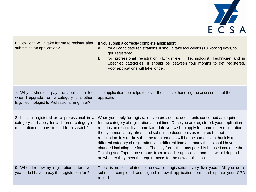

| 6. How long will it take for me to register after<br>submitting an application?                                                                 | If you submit a correctly complete application:<br>for all candidate registrations, it should take two weeks (10 working days) to<br>a)<br>get registered<br>for professional registration (Engineer, Technologist, Technician and in<br>b)<br>Specified categories) it should be between four months to get registered.<br>Poor applications will take longer.                                                                                                                                                                                                                                                                                                                                                                                                                 |
|-------------------------------------------------------------------------------------------------------------------------------------------------|---------------------------------------------------------------------------------------------------------------------------------------------------------------------------------------------------------------------------------------------------------------------------------------------------------------------------------------------------------------------------------------------------------------------------------------------------------------------------------------------------------------------------------------------------------------------------------------------------------------------------------------------------------------------------------------------------------------------------------------------------------------------------------|
| 7. Why I should I pay the application fee<br>when I upgrade from a category to another,<br>E.g. Technologist to Professional Engineer?          | The application fee helps to cover the costs of handling the assessment of the<br>application.                                                                                                                                                                                                                                                                                                                                                                                                                                                                                                                                                                                                                                                                                  |
| 8. If I am registered as a professional in a<br>category and apply for a different category of<br>registration do I have to start from scratch? | When you apply for registration you provide the documents concerned as required<br>for the category of registration at that time. Once you are registered, your application<br>remains on record. If at some later date you wish to apply for some other registration,<br>then you must apply afresh and submit the documents as required for that<br>registration. It is unlikely that the requirements will be the same given that it is a<br>different category of registration, at a different time and many things could have<br>changed including the forms. The only forms that may possibly be used could be the<br>Training and Experience reports from an earlier application and that would depend<br>on whether they meet the requirements for the new application. |
| 9. When I renew my registration after five<br>years, do I have to pay the registration fee?                                                     | There is no fee related to renewal of registration every five years. All you do is<br>submit a completed and signed renewal application form and update your CPD<br>record.                                                                                                                                                                                                                                                                                                                                                                                                                                                                                                                                                                                                     |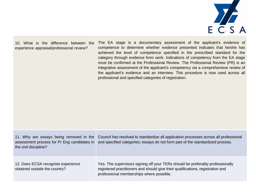

10. What is the difference between the experience appraisal/professional review?

The EA stage is a documentary assessment of the applicant's evidence of competence to determine whether evidence presented indicates that he/she has achieved the level of competence specified in the prescribed standard for the category through evidence from work. Indications of competency from the EA stage must be confirmed at the Professional Review. The Professional Review (PR) is an integrative assessment of the applicant's competency via a comprehensive review of the applicant's evidence and an interview. This procedure is now used across all professional and specified categories of registration.

11. Why are essays being removed in the Council has resolved to standardize all application processes across all professional assessment process for Pr Eng candidates in and specified categories; essays do not form part of the standardized process. the civil discipline?

12. Does ECSA recognise experience obtained outside the country?

Yes. The supervisors signing off your TERs should be preferably professionally registered practitioners and should give their qualifications, registration and professional memberships where possible.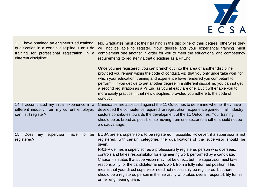

| 13. I have obtained an engineer's educational<br>qualification in a certain discipline. Can I do<br>training for professional registration in a<br>different discipline? | No. Graduates must get their training in the discipline of their degree, otherwise they<br>will not be able to register. Your degree and your experiential training must<br>complement one another in order for you to meet the educational and competency<br>requirements to register via that discipline as a Pr Eng.                                                                                                                                                                                                                                                                                                                                                                                                                               |
|--------------------------------------------------------------------------------------------------------------------------------------------------------------------------|-------------------------------------------------------------------------------------------------------------------------------------------------------------------------------------------------------------------------------------------------------------------------------------------------------------------------------------------------------------------------------------------------------------------------------------------------------------------------------------------------------------------------------------------------------------------------------------------------------------------------------------------------------------------------------------------------------------------------------------------------------|
|                                                                                                                                                                          | Once you are registered, you can branch out into the area of another discipline<br>provided you remain within the code of conduct, viz. that you only undertake work for<br>which your education, training and experience have rendered you competent to<br>perform. If you decide to get another degree in a different discipline, you cannot get<br>a second registration as a Pr Eng as you already are one. But it will enable you to<br>more easily practice in that new discipline, provided you adhere to the code of<br>conduct.                                                                                                                                                                                                              |
| 14. I accumulated my initial experience in a<br>different industry from my current employer,<br>can I still register?                                                    | Candidates are assessed against the 11 Outcomes to determine whether they have<br>developed the competence required for registration. Experience gained in all industry<br>sectors contributes towards the development of the 11 Outcomes. Your training<br>should be as broad as possible, so moving from one sector to another should not be<br>a disadvantage.                                                                                                                                                                                                                                                                                                                                                                                     |
| Does<br>supervisor<br>15.<br>have<br>to<br>be<br>my<br>registered?                                                                                                       | ECSA prefers supervisors to be registered if possible. However, if a supervisor is not<br>registered, with certain categories the qualifications of the supervisor should be<br>given.<br>R-01-P defines a supervisor as a professionally registered person who oversees,<br>controls and takes responsibility for engineering work performed by a candidate.<br>Clause 7.8 states that supervision may not be direct, but the supervisor must take<br>responsibility for the candidate/trainee's work from a fully informed position. This<br>means that your direct supervisor need not necessarily be registered, but there<br>should be a registered person in the hierarchy who takes overall responsibility for his<br>or her engineering team. |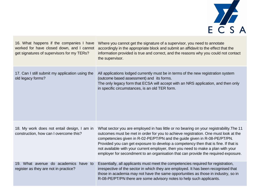

| 16. What happens if the companies I have<br>worked for have closed down, and I cannot<br>get signatures of supervisors for my TERs? | Where you cannot get the signature of a supervisor, you need to annotate<br>accordingly in the appropriate block and submit an affidavit to the effect that the<br>information provided is true and correct, and the reasons why you could not contact<br>the supervisor.                                                                                                                                                                                                                                                    |
|-------------------------------------------------------------------------------------------------------------------------------------|------------------------------------------------------------------------------------------------------------------------------------------------------------------------------------------------------------------------------------------------------------------------------------------------------------------------------------------------------------------------------------------------------------------------------------------------------------------------------------------------------------------------------|
| 17. Can I still submit my application using the<br>old legacy forms?                                                                | All applications lodged currently must be in terms of the new registration system<br>(outcome based assessment) and its forms.<br>The only legacy form that ECSA will accept with an NRS application, and then only<br>in specific circumstances, is an old TER form.                                                                                                                                                                                                                                                        |
| 18. My work does not entail design, I am in<br>construction, how can I overcome this?                                               | What sector you are employed in has little or no bearing on your registrability. The 11<br>outcomes must be met in order for you to achieve registration. One must look at the<br>competencies given in R-02-PE/PT/PN and the guide given in R-08-PE/PT/PN.<br>Provided you can get exposure to develop a competency then that is fine. If that is<br>not available with your current employer, then you need to make a plan with your<br>employer for secondment to an organisation that can provide the required exposure. |
| 19. What avenue do academics<br>have to<br>register as they are not in practice?                                                    | Essentially, all applicants must meet the competencies required for registration,<br>irrespective of the sector in which they are employed. It has been recognised that<br>those in academia may not have the same opportunities as those in industry, so in<br>R-08-PE/PT/PN there are some advisory notes to help such applicants.                                                                                                                                                                                         |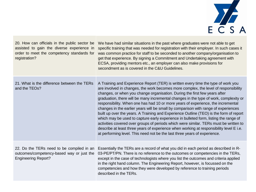

| 20. How can officials in the public sector be<br>assisted to gain the diverse experience in<br>order to meet the competency standards for<br>registration? | We have had similar situations in the past where graduates were not able to get<br>specific training that was needed for registration with their employer. In such cases it<br>was common practice for staff to be seconded to another company/organisation to<br>get that experience. By signing a Commitment and Undertaking agreement with<br>ECSA, providing mentors etc., an employer can also make provisions for<br>secondment as is covered in the C&U Guidelines.                                                                                                                                                                                                                                                                                                                                                                                                                                                                                                   |
|------------------------------------------------------------------------------------------------------------------------------------------------------------|------------------------------------------------------------------------------------------------------------------------------------------------------------------------------------------------------------------------------------------------------------------------------------------------------------------------------------------------------------------------------------------------------------------------------------------------------------------------------------------------------------------------------------------------------------------------------------------------------------------------------------------------------------------------------------------------------------------------------------------------------------------------------------------------------------------------------------------------------------------------------------------------------------------------------------------------------------------------------|
| 21. What is the difference between the TERs<br>and the TEOs?                                                                                               | A Training and Experience Report (TER) is written every time the type of work you<br>are involved in changes, the work becomes more complex, the level of responsibility<br>changes, or when you change organisation. During the first few years after<br>graduation, there will be many incremental changes in the type of work, complexity or<br>responsibility. When one has had 10 or more years of experience, the incremental<br>changes in the earlier years will be small by comparison with range of experiences<br>built up over the years. A Training and Experience Outline (TEO) is the form of report<br>which may be used to capture early experience in bulleted form, listing the range of<br>activities covered over groups of periods which were similar. TERs must be written to<br>describe at least three years of experience when working at responsibility level E i.e.<br>at performing level. This need not be the last three years of experience. |
| 22. Do the TERs need to be compiled in an<br>outcomes/competency-based way or just the<br><b>Engineering Report?</b>                                       | Essentially the TERs are a record of what you did in each period as described in R-<br>03-PE/PT/PN. There is no reference to the outcomes or competencies in the TERs,<br>except in the case of technologists where you list the outcomes and criteria applied<br>in the right hand column. The Engineering Report, however, is focussed on the<br>competencies and how they were developed by reference to training periods<br>described in the TERs.                                                                                                                                                                                                                                                                                                                                                                                                                                                                                                                       |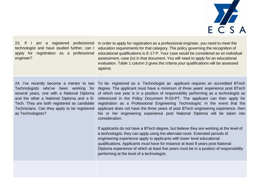

23. If I am a registered professional technologist and have studied further, can I apply for registration as a professional engineer?

In order to apply for registration as a professional engineer, you need to meet the education requirements for that category. The policy governing the recognition of educational qualifications is E-17-P. Your case would be considered as an individual assessment, case (iv) in that document. You will need to apply for an educational evaluation. Table 1 column 3 gives the criteria your qualifications will be assessed against.

24. I've recently become a mentor to two Technologists who've been working for several years, one with a National Diploma and the other a National Diploma and a B-Tech. They are both registered as candidate Technicians. Can they apply to be registered as Technologists?

To be registered as a Technologist an applicant requires an accredited BTech degree. The applicant must have a minimum of three years' experience post BTech of which one year is in a position of responsibility performing as a technologist as referenced in the Policy Document R-03-PT. The applicant can then apply for registration as a Professional Engineering Technologist. In the event that the applicant does not have the three years of post BTech engineering experience, then his or her engineering experience post National Diploma will be taken into consideration.

If applicants do not have a BTech degree, but believe they are working at the level of a technologist, they can apply using the alternate route. Extended periods of engineering experience apply to applicants with lower level educational qualifications. Applicants must have for instance at least 8 years post National Diploma experience of which at least five years must be in a position of responsibility performing at the level of a technologist.